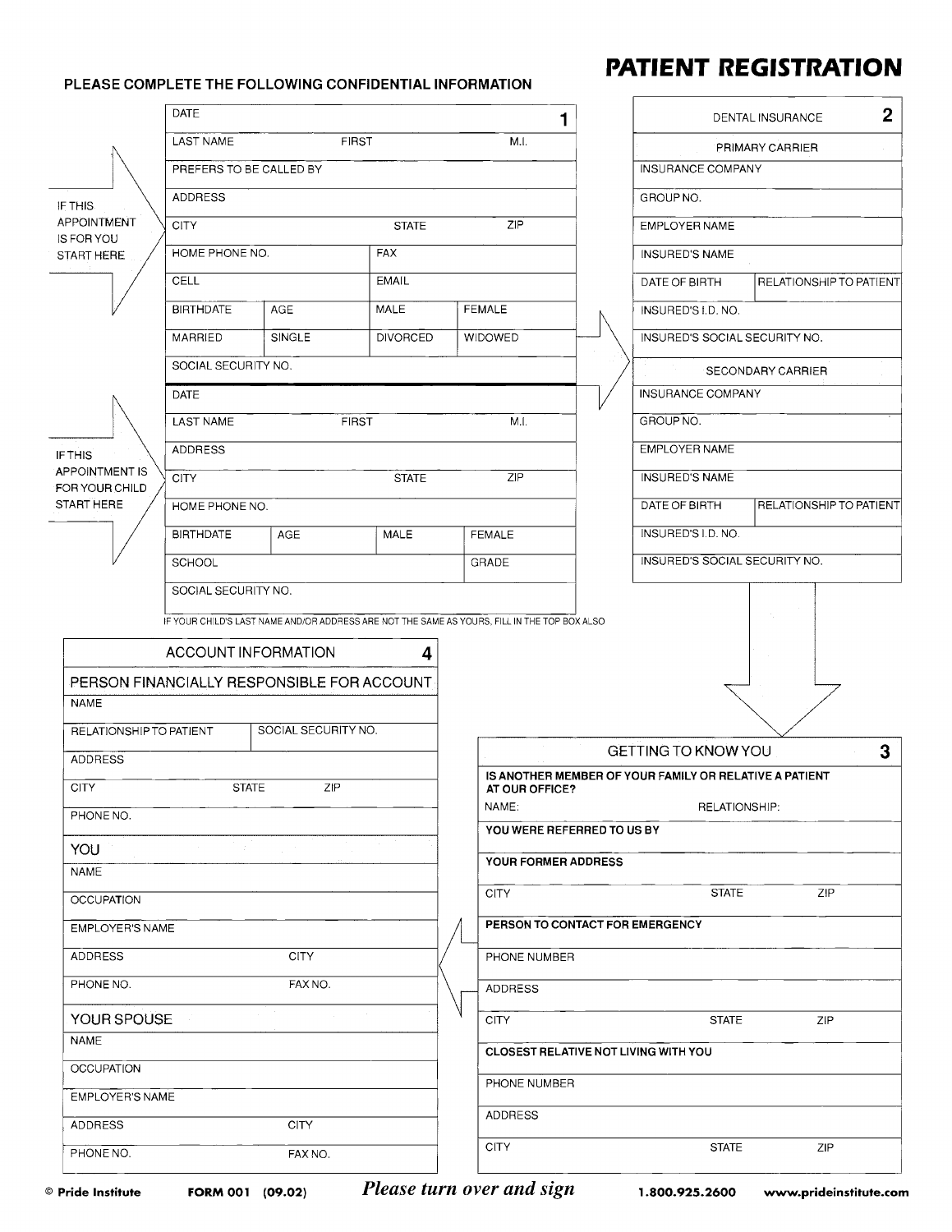## PLEASE COMPLETE THE FOLLOWING CONFIDENTIAL INFORMATION

## **PATIENT REGISTRATION**

| <b>DATE</b>                                                                                  |      | 1                                                                        |  |                               | $\mathbf{2}$<br>DENTAL INSURANCE |
|----------------------------------------------------------------------------------------------|------|--------------------------------------------------------------------------|--|-------------------------------|----------------------------------|
| <b>LAST NAME</b><br><b>FIRST</b>                                                             | M.I. |                                                                          |  |                               | PRIMARY CARRIER                  |
| PREFERS TO BE CALLED BY                                                                      |      |                                                                          |  | INSURANCE COMPANY             |                                  |
| <b>ADDRESS</b><br>IF THIS                                                                    |      |                                                                          |  | GROUP NO.                     |                                  |
| APPOINTMENT<br><b>CITY</b><br><b>STATE</b><br><b>IS FOR YOU</b>                              |      | ZIP                                                                      |  | EMPLOYER NAME                 |                                  |
| HOME PHONE NO.<br>FAX<br>START HERE                                                          |      |                                                                          |  | <b>INSURED'S NAME</b>         |                                  |
| CELL<br>EMAIL                                                                                |      |                                                                          |  | DATE OF BIRTH                 | RELATIONSHIP TO PATIENT          |
| <b>BIRTHDATE</b><br>MALE<br><b>AGE</b>                                                       |      | <b>FEMALE</b>                                                            |  | INSURED'S I.D. NO.            |                                  |
| SINGLE<br>MARRIED<br><b>DIVORCED</b>                                                         |      | WIDOWED                                                                  |  | INSURED'S SOCIAL SECURITY NO. |                                  |
| SOCIAL SECURITY NO.                                                                          |      |                                                                          |  |                               | <b>SECONDARY CARRIER</b>         |
| DATE                                                                                         |      |                                                                          |  | <b>INSURANCE COMPANY</b>      |                                  |
| <b>LAST NAME</b><br><b>FIRST</b>                                                             |      | MI.                                                                      |  | GROUP NO.                     |                                  |
| <b>ADDRESS</b><br><b>IF THIS</b>                                                             |      |                                                                          |  | EMPLOYER NAME                 |                                  |
| <b>APPOINTMENT IS</b><br><b>CITY</b><br><b>STATE</b><br>FOR YOUR CHILD                       |      | ZIP                                                                      |  | <b>INSURED'S NAME</b>         |                                  |
| START HERE<br>HOME PHONE NO.                                                                 |      |                                                                          |  | DATE OF BIRTH                 | RELATIONSHIP TO PATIENT          |
| <b>MALE</b><br><b>BIRTHDATE</b><br><b>AGE</b>                                                |      | <b>FEMALE</b>                                                            |  | INSURED'S I.D. NO.            |                                  |
| <b>SCHOOL</b>                                                                                |      | GRADE                                                                    |  | INSURED'S SOCIAL SECURITY NO. |                                  |
| SOCIAL SECURITY NO.                                                                          |      |                                                                          |  |                               |                                  |
| IF YOUR CHILD'S LAST NAME AND/OR ADDRESS ARE NOT THE SAME AS YOURS, FILL IN THE TOP BOX ALSO |      |                                                                          |  |                               |                                  |
| ACCOUNT INFORMATION<br>4                                                                     |      |                                                                          |  |                               |                                  |
| PERSON FINANCIALLY RESPONSIBLE FOR ACCOUNT                                                   |      |                                                                          |  |                               |                                  |
| <b>NAME</b>                                                                                  |      |                                                                          |  |                               |                                  |
| SOCIAL SECURITY NO.<br>RELATIONSHIP TO PATIENT                                               |      |                                                                          |  |                               |                                  |
| <b>ADDRESS</b>                                                                               |      |                                                                          |  | GETTING TO KNOW YOU           | 3                                |
| <b>CITY</b><br><b>STATE</b><br>ZIP                                                           |      | IS ANOTHER MEMBER OF YOUR FAMILY OR RELATIVE A PATIENT<br>AT OUR OFFICE? |  |                               |                                  |
| PHONE NO.                                                                                    |      | NAME:<br>RELATIONSHIP:<br>YOU WERE REFERRED TO US BY                     |  |                               |                                  |
| <b>YOU</b>                                                                                   |      |                                                                          |  |                               |                                  |
| NAME                                                                                         |      | YOUR FORMER ADDRESS                                                      |  |                               |                                  |
| <b>OCCUPATION</b>                                                                            |      | <b>CITY</b>                                                              |  | <b>STATE</b>                  | ZIP                              |
| <b>EMPLOYER'S NAME</b>                                                                       |      | PERSON TO CONTACT FOR EMERGENCY                                          |  |                               |                                  |
| <b>CITY</b><br>ADDRESS                                                                       |      | PHONE NUMBER                                                             |  |                               |                                  |
| FAX NO.<br>PHONE NO.                                                                         |      | ADDRESS                                                                  |  |                               |                                  |
|                                                                                              |      | <b>CITY</b>                                                              |  | <b>STATE</b>                  |                                  |
| YOUR SPOUSE                                                                                  |      |                                                                          |  |                               | ZIP                              |
| <b>NAME</b>                                                                                  |      |                                                                          |  |                               |                                  |
| <b>OCCUPATION</b>                                                                            |      | <b>CLOSEST RELATIVE NOT LIVING WITH YOU</b>                              |  |                               |                                  |
| EMPLOYER'S NAME                                                                              |      | PHONE NUMBER                                                             |  |                               |                                  |
| <b>ADDRESS</b><br>CITY                                                                       |      | <b>ADDRESS</b>                                                           |  |                               |                                  |

FORM 001 (09.02)

Please turn over and sign